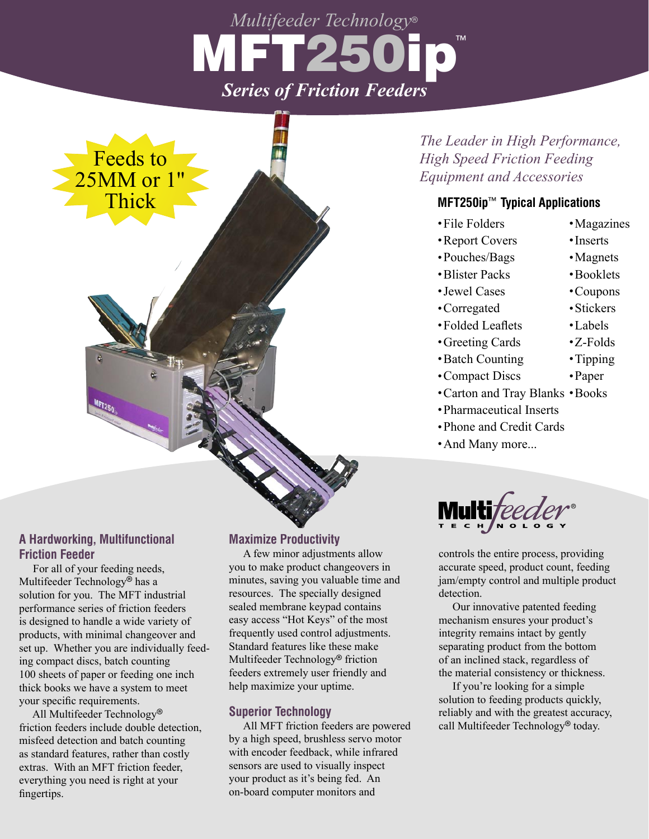# *Multifeeder Technology®* IMETI *Series of Friction Feeders* **TM**



# *The Leader in High Performance, High Speed Friction Feeding Equipment and Accessories*

## **MFT250ip™ Typical Applications**

- .File Folders
- .Report Covers
- .Pouches/Bags
- .Blister Packs
- .Jewel Cases
- .Corregated
- .Folded Leaflets
- .Greeting Cards
- .Batch Counting
- .Compact Discs
- Compact Discs Paper<br>• Carton and Tray Blanks Books
- .Pharmaceutical Inserts
- .Phone and Credit Cards
- And Many more...

®

controls the entire process, providing accurate speed, product count, feeding jam/empty control and multiple product detection.

 Our innovative patented feeding mechanism ensures your product's integrity remains intact by gently separating product from the bottom of an inclined stack, regardless of the material consistency or thickness.

 If you're looking for a simple solution to feeding products quickly, reliably and with the greatest accuracy, call Multifeeder Technology<sup>®</sup> today.

## **A Hardworking, Multifunctional Friction Feeder**

 For all of your feeding needs, Multifeeder Technology<sup>®</sup> has a solution for you. The MFT industrial performance series of friction feeders is designed to handle a wide variety of products, with minimal changeover and set up. Whether you are individually feeding compact discs, batch counting 100 sheets of paper or feeding one inch thick books we have a system to meet your specific requirements.

All Multifeeder Technology® friction feeders include double detection, misfeed detection and batch counting as standard features, rather than costly extras. With an MFT friction feeder, everything you need is right at your fingertips.

#### **Maximize Productivity**

 A few minor adjustments allow you to make product changeovers in minutes, saving you valuable time and resources. The specially designed sealed membrane keypad contains easy access "Hot Keys" of the most frequently used control adjustments. Standard features like these make Multifeeder Technology<sup>®</sup> friction feeders extremely user friendly and help maximize your uptime.

#### **Superior Technology**

 All MFT friction feeders are powered by a high speed, brushless servo motor with encoder feedback, while infrared sensors are used to visually inspect your product as it's being fed. An on-board computer monitors and

.Booklets .Coupons

.Magazines .Inserts • Magnets

- .Stickers
- .Labels
- .Z-Folds

.Paper

.Tipping